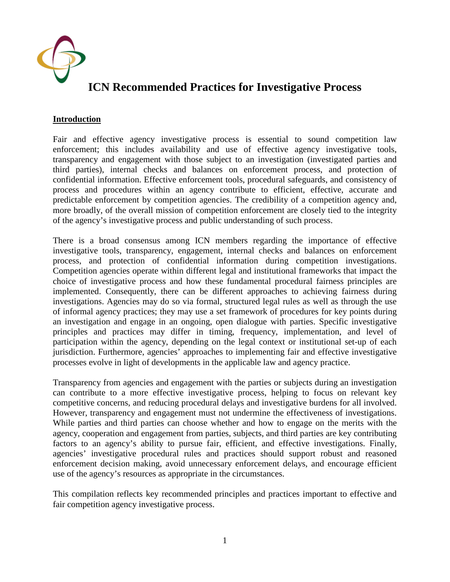

#### **Introduction**

Fair and effective agency investigative process is essential to sound competition law enforcement; this includes availability and use of effective agency investigative tools, transparency and engagement with those subject to an investigation (investigated parties and third parties), internal checks and balances on enforcement process, and protection of confidential information. Effective enforcement tools, procedural safeguards, and consistency of process and procedures within an agency contribute to efficient, effective, accurate and predictable enforcement by competition agencies. The credibility of a competition agency and, more broadly, of the overall mission of competition enforcement are closely tied to the integrity of the agency's investigative process and public understanding of such process.

There is a broad consensus among ICN members regarding the importance of effective investigative tools, transparency, engagement, internal checks and balances on enforcement process, and protection of confidential information during competition investigations. Competition agencies operate within different legal and institutional frameworks that impact the choice of investigative process and how these fundamental procedural fairness principles are implemented. Consequently, there can be different approaches to achieving fairness during investigations. Agencies may do so via formal, structured legal rules as well as through the use of informal agency practices; they may use a set framework of procedures for key points during an investigation and engage in an ongoing, open dialogue with parties. Specific investigative principles and practices may differ in timing, frequency, implementation, and level of participation within the agency, depending on the legal context or institutional set-up of each jurisdiction. Furthermore, agencies' approaches to implementing fair and effective investigative processes evolve in light of developments in the applicable law and agency practice.

Transparency from agencies and engagement with the parties or subjects during an investigation can contribute to a more effective investigative process, helping to focus on relevant key competitive concerns, and reducing procedural delays and investigative burdens for all involved. However, transparency and engagement must not undermine the effectiveness of investigations. While parties and third parties can choose whether and how to engage on the merits with the agency, cooperation and engagement from parties, subjects, and third parties are key contributing factors to an agency's ability to pursue fair, efficient, and effective investigations. Finally, agencies' investigative procedural rules and practices should support robust and reasoned enforcement decision making, avoid unnecessary enforcement delays, and encourage efficient use of the agency's resources as appropriate in the circumstances.

This compilation reflects key recommended principles and practices important to effective and fair competition agency investigative process.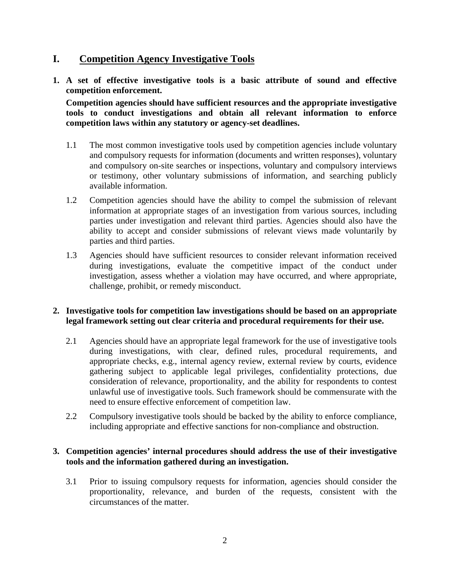## **I. Competition Agency Investigative Tools**

**1. A set of effective investigative tools is a basic attribute of sound and effective competition enforcement.** 

**Competition agencies should have sufficient resources and the appropriate investigative tools to conduct investigations and obtain all relevant information to enforce competition laws within any statutory or agency-set deadlines.** 

- 1.1 The most common investigative tools used by competition agencies include voluntary and compulsory requests for information (documents and written responses), voluntary and compulsory on-site searches or inspections, voluntary and compulsory interviews or testimony, other voluntary submissions of information, and searching publicly available information.
- 1.2 Competition agencies should have the ability to compel the submission of relevant information at appropriate stages of an investigation from various sources, including parties under investigation and relevant third parties. Agencies should also have the ability to accept and consider submissions of relevant views made voluntarily by parties and third parties.
- 1.3 Agencies should have sufficient resources to consider relevant information received during investigations, evaluate the competitive impact of the conduct under investigation, assess whether a violation may have occurred, and where appropriate, challenge, prohibit, or remedy misconduct.

### **2. Investigative tools for competition law investigations should be based on an appropriate legal framework setting out clear criteria and procedural requirements for their use.**

- 2.1 Agencies should have an appropriate legal framework for the use of investigative tools during investigations, with clear, defined rules, procedural requirements, and appropriate checks, e.g., internal agency review, external review by courts, evidence gathering subject to applicable legal privileges, confidentiality protections, due consideration of relevance, proportionality, and the ability for respondents to contest unlawful use of investigative tools. Such framework should be commensurate with the need to ensure effective enforcement of competition law.
- 2.2 Compulsory investigative tools should be backed by the ability to enforce compliance, including appropriate and effective sanctions for non-compliance and obstruction.

### **3. Competition agencies' internal procedures should address the use of their investigative tools and the information gathered during an investigation.**

3.1 Prior to issuing compulsory requests for information, agencies should consider the proportionality, relevance, and burden of the requests, consistent with the circumstances of the matter.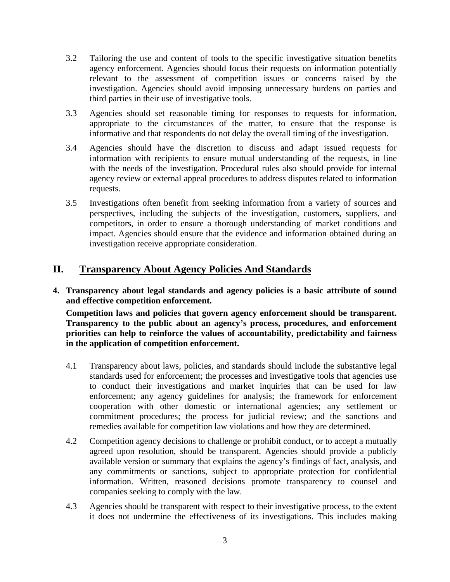- 3.2 Tailoring the use and content of tools to the specific investigative situation benefits agency enforcement. Agencies should focus their requests on information potentially relevant to the assessment of competition issues or concerns raised by the investigation. Agencies should avoid imposing unnecessary burdens on parties and third parties in their use of investigative tools.
- 3.3 Agencies should set reasonable timing for responses to requests for information, appropriate to the circumstances of the matter, to ensure that the response is informative and that respondents do not delay the overall timing of the investigation.
- 3.4 Agencies should have the discretion to discuss and adapt issued requests for information with recipients to ensure mutual understanding of the requests, in line with the needs of the investigation. Procedural rules also should provide for internal agency review or external appeal procedures to address disputes related to information requests.
- 3.5 Investigations often benefit from seeking information from a variety of sources and perspectives, including the subjects of the investigation, customers, suppliers, and competitors, in order to ensure a thorough understanding of market conditions and impact. Agencies should ensure that the evidence and information obtained during an investigation receive appropriate consideration.

## **II. Transparency About Agency Policies And Standards**

**4. Transparency about legal standards and agency policies is a basic attribute of sound and effective competition enforcement.** 

**Competition laws and policies that govern agency enforcement should be transparent. Transparency to the public about an agency's process, procedures, and enforcement priorities can help to reinforce the values of accountability, predictability and fairness in the application of competition enforcement.**

- 4.1 Transparency about laws, policies, and standards should include the substantive legal standards used for enforcement; the processes and investigative tools that agencies use to conduct their investigations and market inquiries that can be used for law enforcement; any agency guidelines for analysis; the framework for enforcement cooperation with other domestic or international agencies; any settlement or commitment procedures; the process for judicial review; and the sanctions and remedies available for competition law violations and how they are determined.
- 4.2 Competition agency decisions to challenge or prohibit conduct, or to accept a mutually agreed upon resolution, should be transparent. Agencies should provide a publicly available version or summary that explains the agency's findings of fact, analysis, and any commitments or sanctions, subject to appropriate protection for confidential information. Written, reasoned decisions promote transparency to counsel and companies seeking to comply with the law.
- 4.3 Agencies should be transparent with respect to their investigative process, to the extent it does not undermine the effectiveness of its investigations. This includes making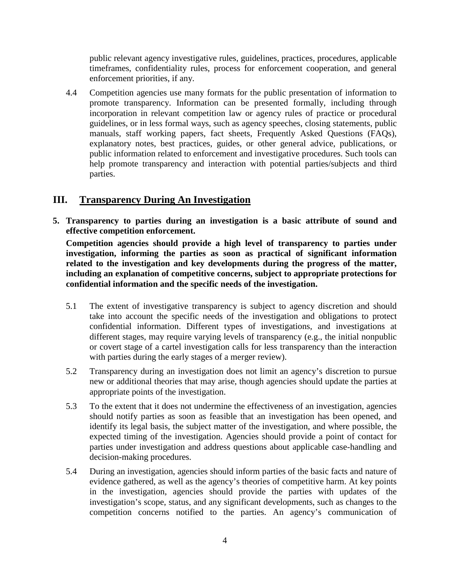public relevant agency investigative rules, guidelines, practices, procedures, applicable timeframes, confidentiality rules, process for enforcement cooperation, and general enforcement priorities, if any.

4.4 Competition agencies use many formats for the public presentation of information to promote transparency. Information can be presented formally, including through incorporation in relevant competition law or agency rules of practice or procedural guidelines, or in less formal ways, such as agency speeches, closing statements, public manuals, staff working papers, fact sheets, Frequently Asked Questions (FAQs), explanatory notes, best practices, guides, or other general advice, publications, or public information related to enforcement and investigative procedures. Such tools can help promote transparency and interaction with potential parties/subjects and third parties.

# **III. Transparency During An Investigation**

**5. Transparency to parties during an investigation is a basic attribute of sound and effective competition enforcement.** 

**Competition agencies should provide a high level of transparency to parties under investigation, informing the parties as soon as practical of significant information related to the investigation and key developments during the progress of the matter, including an explanation of competitive concerns, subject to appropriate protections for confidential information and the specific needs of the investigation.** 

- 5.1 The extent of investigative transparency is subject to agency discretion and should take into account the specific needs of the investigation and obligations to protect confidential information. Different types of investigations, and investigations at different stages, may require varying levels of transparency (e.g., the initial nonpublic or covert stage of a cartel investigation calls for less transparency than the interaction with parties during the early stages of a merger review).
- 5.2 Transparency during an investigation does not limit an agency's discretion to pursue new or additional theories that may arise, though agencies should update the parties at appropriate points of the investigation.
- 5.3 To the extent that it does not undermine the effectiveness of an investigation, agencies should notify parties as soon as feasible that an investigation has been opened, and identify its legal basis, the subject matter of the investigation, and where possible, the expected timing of the investigation. Agencies should provide a point of contact for parties under investigation and address questions about applicable case-handling and decision-making procedures.
- 5.4 During an investigation, agencies should inform parties of the basic facts and nature of evidence gathered, as well as the agency's theories of competitive harm. At key points in the investigation, agencies should provide the parties with updates of the investigation's scope, status, and any significant developments, such as changes to the competition concerns notified to the parties. An agency's communication of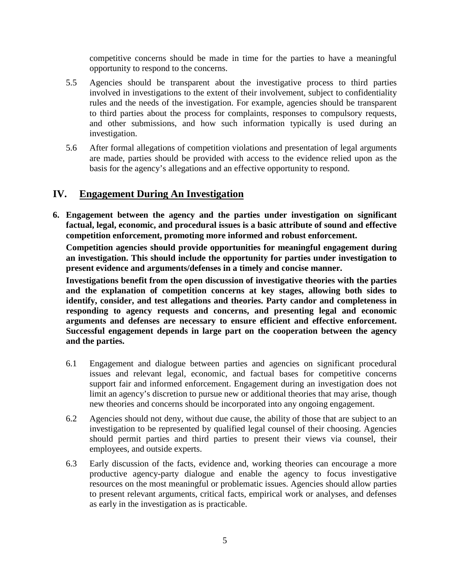competitive concerns should be made in time for the parties to have a meaningful opportunity to respond to the concerns.

- 5.5 Agencies should be transparent about the investigative process to third parties involved in investigations to the extent of their involvement, subject to confidentiality rules and the needs of the investigation. For example, agencies should be transparent to third parties about the process for complaints, responses to compulsory requests, and other submissions, and how such information typically is used during an investigation.
- 5.6 After formal allegations of competition violations and presentation of legal arguments are made, parties should be provided with access to the evidence relied upon as the basis for the agency's allegations and an effective opportunity to respond.

### **IV. Engagement During An Investigation**

**6. Engagement between the agency and the parties under investigation on significant factual, legal, economic, and procedural issues is a basic attribute of sound and effective competition enforcement, promoting more informed and robust enforcement.** 

**Competition agencies should provide opportunities for meaningful engagement during an investigation. This should include the opportunity for parties under investigation to present evidence and arguments/defenses in a timely and concise manner.** 

**Investigations benefit from the open discussion of investigative theories with the parties and the explanation of competition concerns at key stages, allowing both sides to identify, consider, and test allegations and theories. Party candor and completeness in responding to agency requests and concerns, and presenting legal and economic arguments and defenses are necessary to ensure efficient and effective enforcement. Successful engagement depends in large part on the cooperation between the agency and the parties.**

- 6.1 Engagement and dialogue between parties and agencies on significant procedural issues and relevant legal, economic, and factual bases for competitive concerns support fair and informed enforcement. Engagement during an investigation does not limit an agency's discretion to pursue new or additional theories that may arise, though new theories and concerns should be incorporated into any ongoing engagement.
- 6.2 Agencies should not deny, without due cause, the ability of those that are subject to an investigation to be represented by qualified legal counsel of their choosing. Agencies should permit parties and third parties to present their views via counsel, their employees, and outside experts.
- 6.3 Early discussion of the facts, evidence and, working theories can encourage a more productive agency-party dialogue and enable the agency to focus investigative resources on the most meaningful or problematic issues. Agencies should allow parties to present relevant arguments, critical facts, empirical work or analyses, and defenses as early in the investigation as is practicable.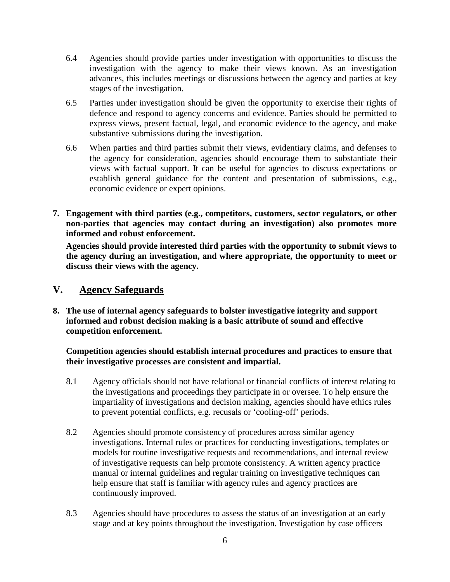- 6.4 Agencies should provide parties under investigation with opportunities to discuss the investigation with the agency to make their views known. As an investigation advances, this includes meetings or discussions between the agency and parties at key stages of the investigation.
- 6.5 Parties under investigation should be given the opportunity to exercise their rights of defence and respond to agency concerns and evidence. Parties should be permitted to express views, present factual, legal, and economic evidence to the agency, and make substantive submissions during the investigation.
- 6.6 When parties and third parties submit their views, evidentiary claims, and defenses to the agency for consideration, agencies should encourage them to substantiate their views with factual support. It can be useful for agencies to discuss expectations or establish general guidance for the content and presentation of submissions, e.g., economic evidence or expert opinions.
- **7. Engagement with third parties (e.g., competitors, customers, sector regulators, or other non-parties that agencies may contact during an investigation) also promotes more informed and robust enforcement.**

**Agencies should provide interested third parties with the opportunity to submit views to the agency during an investigation, and where appropriate, the opportunity to meet or discuss their views with the agency.**

### **V. Agency Safeguards**

**8. The use of internal agency safeguards to bolster investigative integrity and support informed and robust decision making is a basic attribute of sound and effective competition enforcement.** 

### **Competition agencies should establish internal procedures and practices to ensure that their investigative processes are consistent and impartial.**

- 8.1 Agency officials should not have relational or financial conflicts of interest relating to the investigations and proceedings they participate in or oversee. To help ensure the impartiality of investigations and decision making, agencies should have ethics rules to prevent potential conflicts, e.g. recusals or 'cooling-off' periods.
- 8.2 Agencies should promote consistency of procedures across similar agency investigations. Internal rules or practices for conducting investigations, templates or models for routine investigative requests and recommendations, and internal review of investigative requests can help promote consistency. A written agency practice manual or internal guidelines and regular training on investigative techniques can help ensure that staff is familiar with agency rules and agency practices are continuously improved.
- 8.3 Agencies should have procedures to assess the status of an investigation at an early stage and at key points throughout the investigation. Investigation by case officers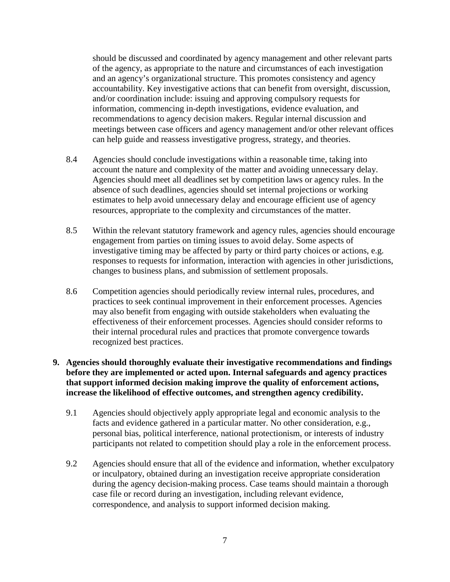should be discussed and coordinated by agency management and other relevant parts of the agency, as appropriate to the nature and circumstances of each investigation and an agency's organizational structure. This promotes consistency and agency accountability. Key investigative actions that can benefit from oversight, discussion, and/or coordination include: issuing and approving compulsory requests for information, commencing in-depth investigations, evidence evaluation, and recommendations to agency decision makers. Regular internal discussion and meetings between case officers and agency management and/or other relevant offices can help guide and reassess investigative progress, strategy, and theories.

- 8.4 Agencies should conclude investigations within a reasonable time, taking into account the nature and complexity of the matter and avoiding unnecessary delay. Agencies should meet all deadlines set by competition laws or agency rules. In the absence of such deadlines, agencies should set internal projections or working estimates to help avoid unnecessary delay and encourage efficient use of agency resources, appropriate to the complexity and circumstances of the matter.
- 8.5 Within the relevant statutory framework and agency rules, agencies should encourage engagement from parties on timing issues to avoid delay. Some aspects of investigative timing may be affected by party or third party choices or actions, e.g. responses to requests for information, interaction with agencies in other jurisdictions, changes to business plans, and submission of settlement proposals.
- 8.6 Competition agencies should periodically review internal rules, procedures, and practices to seek continual improvement in their enforcement processes. Agencies may also benefit from engaging with outside stakeholders when evaluating the effectiveness of their enforcement processes. Agencies should consider reforms to their internal procedural rules and practices that promote convergence towards recognized best practices.

#### **9. Agencies should thoroughly evaluate their investigative recommendations and findings before they are implemented or acted upon. Internal safeguards and agency practices that support informed decision making improve the quality of enforcement actions, increase the likelihood of effective outcomes, and strengthen agency credibility.**

- 9.1 Agencies should objectively apply appropriate legal and economic analysis to the facts and evidence gathered in a particular matter. No other consideration, e.g., personal bias, political interference, national protectionism, or interests of industry participants not related to competition should play a role in the enforcement process.
- 9.2 Agencies should ensure that all of the evidence and information, whether exculpatory or inculpatory, obtained during an investigation receive appropriate consideration during the agency decision-making process. Case teams should maintain a thorough case file or record during an investigation, including relevant evidence, correspondence, and analysis to support informed decision making.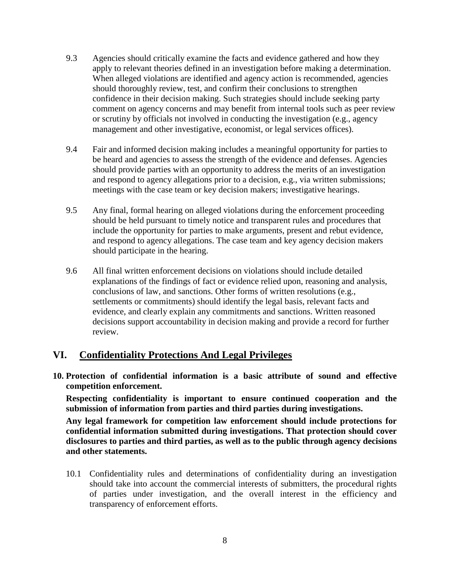- 9.3 Agencies should critically examine the facts and evidence gathered and how they apply to relevant theories defined in an investigation before making a determination. When alleged violations are identified and agency action is recommended, agencies should thoroughly review, test, and confirm their conclusions to strengthen confidence in their decision making. Such strategies should include seeking party comment on agency concerns and may benefit from internal tools such as peer review or scrutiny by officials not involved in conducting the investigation (e.g., agency management and other investigative, economist, or legal services offices).
- 9.4 Fair and informed decision making includes a meaningful opportunity for parties to be heard and agencies to assess the strength of the evidence and defenses. Agencies should provide parties with an opportunity to address the merits of an investigation and respond to agency allegations prior to a decision, e.g., via written submissions; meetings with the case team or key decision makers; investigative hearings.
- 9.5 Any final, formal hearing on alleged violations during the enforcement proceeding should be held pursuant to timely notice and transparent rules and procedures that include the opportunity for parties to make arguments, present and rebut evidence, and respond to agency allegations. The case team and key agency decision makers should participate in the hearing.
- 9.6 All final written enforcement decisions on violations should include detailed explanations of the findings of fact or evidence relied upon, reasoning and analysis, conclusions of law, and sanctions. Other forms of written resolutions (e.g., settlements or commitments) should identify the legal basis, relevant facts and evidence, and clearly explain any commitments and sanctions. Written reasoned decisions support accountability in decision making and provide a record for further review.

# **VI. Confidentiality Protections And Legal Privileges**

**10. Protection of confidential information is a basic attribute of sound and effective competition enforcement.** 

**Respecting confidentiality is important to ensure continued cooperation and the submission of information from parties and third parties during investigations.** 

**Any legal framework for competition law enforcement should include protections for confidential information submitted during investigations. That protection should cover disclosures to parties and third parties, as well as to the public through agency decisions and other statements.**

10.1 Confidentiality rules and determinations of confidentiality during an investigation should take into account the commercial interests of submitters, the procedural rights of parties under investigation, and the overall interest in the efficiency and transparency of enforcement efforts.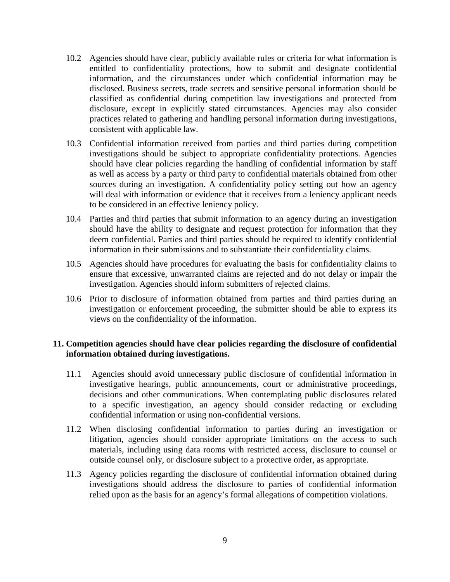- 10.2 Agencies should have clear, publicly available rules or criteria for what information is entitled to confidentiality protections, how to submit and designate confidential information, and the circumstances under which confidential information may be disclosed. Business secrets, trade secrets and sensitive personal information should be classified as confidential during competition law investigations and protected from disclosure, except in explicitly stated circumstances. Agencies may also consider practices related to gathering and handling personal information during investigations, consistent with applicable law.
- 10.3 Confidential information received from parties and third parties during competition investigations should be subject to appropriate confidentiality protections. Agencies should have clear policies regarding the handling of confidential information by staff as well as access by a party or third party to confidential materials obtained from other sources during an investigation. A confidentiality policy setting out how an agency will deal with information or evidence that it receives from a leniency applicant needs to be considered in an effective leniency policy.
- 10.4 Parties and third parties that submit information to an agency during an investigation should have the ability to designate and request protection for information that they deem confidential. Parties and third parties should be required to identify confidential information in their submissions and to substantiate their confidentiality claims.
- 10.5 Agencies should have procedures for evaluating the basis for confidentiality claims to ensure that excessive, unwarranted claims are rejected and do not delay or impair the investigation. Agencies should inform submitters of rejected claims.
- 10.6 Prior to disclosure of information obtained from parties and third parties during an investigation or enforcement proceeding, the submitter should be able to express its views on the confidentiality of the information.

#### **11. Competition agencies should have clear policies regarding the disclosure of confidential information obtained during investigations.**

- 11.1 Agencies should avoid unnecessary public disclosure of confidential information in investigative hearings, public announcements, court or administrative proceedings, decisions and other communications. When contemplating public disclosures related to a specific investigation, an agency should consider redacting or excluding confidential information or using non-confidential versions.
- 11.2 When disclosing confidential information to parties during an investigation or litigation, agencies should consider appropriate limitations on the access to such materials, including using data rooms with restricted access, disclosure to counsel or outside counsel only, or disclosure subject to a protective order, as appropriate.
- 11.3 Agency policies regarding the disclosure of confidential information obtained during investigations should address the disclosure to parties of confidential information relied upon as the basis for an agency's formal allegations of competition violations.